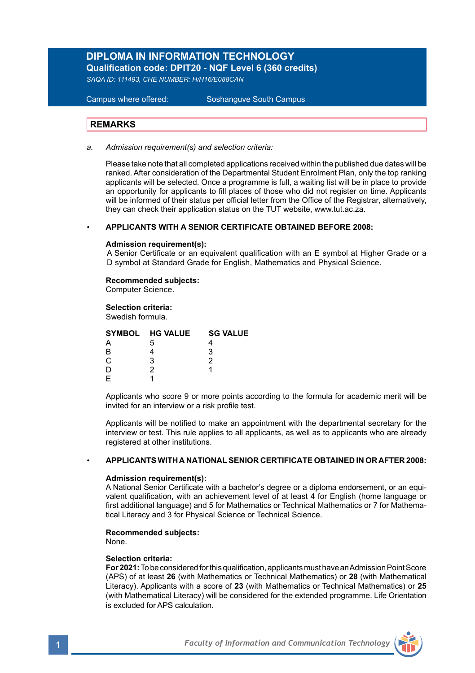### **DIPLOMA IN INFORMATION TECHNOLOGY Qualification code: DPIT20 - NQF Level 6 (360 credits)**

*SAQA ID: 111493, CHE NUMBER: H/H16/E088CAN*

### **Campus where offered:**

Soshanguve South Campus

### **REMARKS**

*a. Admission requirement(s) and selection criteria:*

Please take note that all completed applications received within the published due dates will be ranked. After consideration of the Departmental Student Enrolment Plan, only the top ranking applicants will be selected. Once a programme is full, a waiting list will be in place to provide an opportunity for applicants to fill places of those who did not register on time. Applicants will be informed of their status per official letter from the Office of the Registrar, alternatively, they can check their application status on the TUT website, www.tut.ac.za.

### *•* **APPLICANTS WITH A SENIOR CERTIFICATE OBTAINED BEFORE 2008:**

### **Admission requirement(s):**

A Senior Certificate or an equivalent qualification with an E symbol at Higher Grade or a D symbol at Standard Grade for English, Mathematics and Physical Science.

### **Recommended subjects:**

Computer Science.

### **Selection criteria:**

Swedish formula.

|    | SYMBOL HG VALUE | <b>SG VALUE</b> |  |
|----|-----------------|-----------------|--|
|    | 5               |                 |  |
|    |                 |                 |  |
| r. | ว               |                 |  |
|    |                 |                 |  |
|    |                 |                 |  |
|    |                 |                 |  |

Applicants who score 9 or more points according to the formula for academic merit will be invited for an interview or a risk profile test.

Applicants will be notified to make an appointment with the departmental secretary for the interview or test. This rule applies to all applicants, as well as to applicants who are already registered at other institutions.

### *•* **APPLICANTS WITH A NATIONAL SENIOR CERTIFICATE OBTAINED IN OR AFTER 2008:**

### **Admission requirement(s):**

A National Senior Certificate with a bachelor's degree or a diploma endorsement, or an equivalent qualification, with an achievement level of at least 4 for English (home language or first additional language) and 5 for Mathematics or Technical Mathematics or 7 for Mathematical Literacy and 3 for Physical Science or Technical Science.

### **Recommended subjects:**

None.

### **Selection criteria:**

**For 2021:** To be considered for this qualification, applicants must have an Admission Point Score (APS) of at least **26** (with Mathematics or Technical Mathematics) or **28** (with Mathematical Literacy). Applicants with a score of **23** (with Mathematics or Technical Mathematics) or **25** (with Mathematical Literacy) will be considered for the extended programme. Life Orientation is excluded for APS calculation.

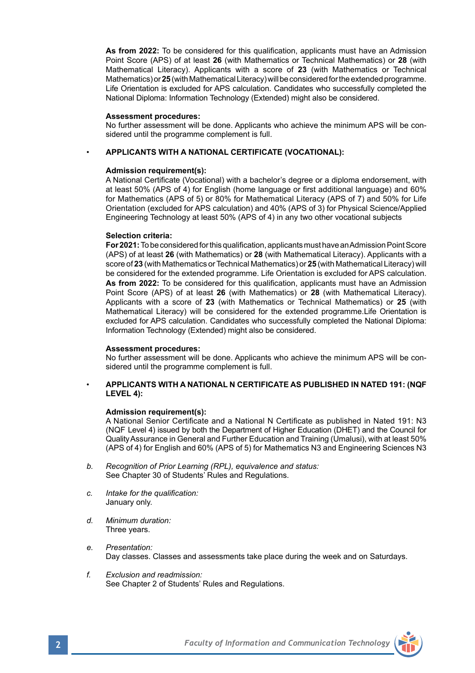**As from 2022:** To be considered for this qualification, applicants must have an Admission Point Score (APS) of at least **26** (with Mathematics or Technical Mathematics) or **28** (with Mathematical Literacy). Applicants with a score of **23** (with Mathematics or Technical Mathematics) or **25** (with Mathematical Literacy) will be considered for the extended programme. Life Orientation is excluded for APS calculation. Candidates who successfully completed the National Diploma: Information Technology (Extended) might also be considered.

### **Assessment procedures:**

 No further assessment will be done. Applicants who achieve the minimum APS will be con sidered until the programme complement is full.

### • **APPLICANTS WITH A NATIONAL CERTIFICATE (VOCATIONAL):**

### **Admission requirement(s):**

A National Certificate (Vocational) with a bachelor's degree or a diploma endorsement, with at least 50% (APS of 4) for English (home language or first additional language) and 60% for Mathematics (APS of 5) or 80% for Mathematical Literacy (APS of 7) and 50% for Life Orientation (excluded for APS calculation) and 40% (APS of 3) for Physical Science/Applied Engineering Technology at least 50% (APS of 4) in any two other vocational subjects

### **Selection criteria:**

**For 2021:** To be considered for this qualification, applicants must have an Admission Point Score (APS) of at least **26** (with Mathematics) or **28** (with Mathematical Literacy). Applicants with a score of **23** (with Mathematics or Technical Mathematics) or **25** (with Mathematical Literacy) will be considered for the extended programme. Life Orientation is excluded for APS calculation. **As from 2022:** To be considered for this qualification, applicants must have an Admission Point Score (APS) of at least **26** (with Mathematics) or **28** (with Mathematical Literacy). Applicants with a score of **23** (with Mathematics or Technical Mathematics) or **25** (with Mathematical Literacy) will be considered for the extended programme.Life Orientation is excluded for APS calculation. Candidates who successfully completed the National Diploma: Information Technology (Extended) might also be considered.

### **Assessment procedures:**

No further assessment will be done. Applicants who achieve the minimum APS will be con sidered until the programme complement is full.

### • **APPLICANTS WITH A NATIONAL N CERTIFICATE AS PUBLISHED IN NATED 191: (NQF LEVEL 4):**

### **Admission requirement(s):**

A National Senior Certificate and a National N Certificate as published in Nated 191: N3 (NQF Level 4) issued by both the Department of Higher Education (DHET) and the Council for Quality Assurance in General and Further Education and Training (Umalusi), with at least 50% (APS of 4) for English and 60% (APS of 5) for Mathematics N3 and Engineering Sciences N3

- *b. Recognition of Prior Learning (RPL), equivalence and status:* See Chapter 30 of Students' Rules and Regulations.
- *c. Intake for the qualification:*  January only.
- *d. Minimum duration:* Three years.
- *e. Presentation:*  Day classes. Classes and assessments take place during the week and on Saturdays.
- *f. Exclusion and readmission:* See Chapter 2 of Students' Rules and Regulations.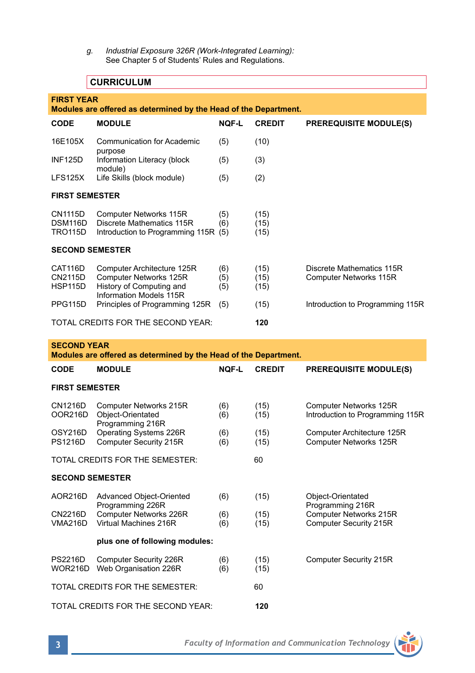*g. Industrial Exposure 326R (Work-Integrated Learning):* See Chapter 5 of Students' Rules and Regulations.

## **CURRICULUM**

|                                                                  | <b>CURRICULUM</b>                                                                                                  |                   |                      |                                                                      |  |  |  |  |
|------------------------------------------------------------------|--------------------------------------------------------------------------------------------------------------------|-------------------|----------------------|----------------------------------------------------------------------|--|--|--|--|
| <b>FIRST YEAR</b>                                                |                                                                                                                    |                   |                      |                                                                      |  |  |  |  |
| Modules are offered as determined by the Head of the Department. |                                                                                                                    |                   |                      |                                                                      |  |  |  |  |
| CODE                                                             | <b>MODULE</b>                                                                                                      | <b>NOF-L</b>      | <b>CREDIT</b>        | <b>PREREQUISITE MODULE(S)</b>                                        |  |  |  |  |
| 16E105X                                                          | <b>Communication for Academic</b><br>purpose                                                                       | (5)               | (10)                 |                                                                      |  |  |  |  |
| <b>INF125D</b>                                                   | Information Literacy (block<br>module)                                                                             | (5)               | (3)                  |                                                                      |  |  |  |  |
| LFS125X                                                          | Life Skills (block module)                                                                                         | (5)               | (2)                  |                                                                      |  |  |  |  |
| <b>FIRST SEMESTER</b>                                            |                                                                                                                    |                   |                      |                                                                      |  |  |  |  |
| CN1115D<br>DSM116D<br>TRO115D                                    | Computer Networks 115R<br>Discrete Mathematics 115R<br>Introduction to Programming 115R (5)                        | (5)<br>(6)        | (15)<br>(15)<br>(15) |                                                                      |  |  |  |  |
| <b>SECOND SEMESTER</b>                                           |                                                                                                                    |                   |                      |                                                                      |  |  |  |  |
| CAT116D<br>CN2115D<br><b>HSP115D</b>                             | Computer Architecture 125R<br><b>Computer Networks 125R</b><br>History of Computing and<br>Information Models 115R | (6)<br>(5)<br>(5) | (15)<br>(15)<br>(15) | Discrete Mathematics 115R<br>Computer Networks 115R                  |  |  |  |  |
| PPG115D                                                          | Principles of Programming 125R                                                                                     | (5)               | (15)                 | Introduction to Programming 115R                                     |  |  |  |  |
| TOTAL CREDITS FOR THE SECOND YEAR:                               |                                                                                                                    |                   | 120                  |                                                                      |  |  |  |  |
| <b>SECOND YEAR</b>                                               | Modules are offered as determined by the Head of the Department.                                                   |                   |                      |                                                                      |  |  |  |  |
| <b>CODE</b>                                                      | <b>MODULE</b>                                                                                                      | <b>NOF-L</b>      | <b>CREDIT</b>        | <b>PREREQUISITE MODULE(S)</b>                                        |  |  |  |  |
| <b>FIRST SEMESTER</b>                                            |                                                                                                                    |                   |                      |                                                                      |  |  |  |  |
| CN1216D<br>OOR216D                                               | Computer Networks 215R<br>Object-Orientated                                                                        | (6)               |                      |                                                                      |  |  |  |  |
|                                                                  |                                                                                                                    | (6)               | (15)<br>(15)         | Computer Networks 125R<br>Introduction to Programming 115R           |  |  |  |  |
| OSY216D<br><b>PS1216D</b>                                        | Programming 216R<br>Operating Systems 226R<br>Computer Security 215R                                               | (6)<br>(6)        | (15)<br>(15)         | Computer Architecture 125R<br>Computer Networks 125R                 |  |  |  |  |
|                                                                  | TOTAL CREDITS FOR THE SEMESTER:                                                                                    |                   | 60                   |                                                                      |  |  |  |  |
| <b>SECOND SEMESTER</b>                                           |                                                                                                                    |                   |                      |                                                                      |  |  |  |  |
| AOR216D                                                          | Advanced Object-Oriented                                                                                           | (6)               | (15)                 | Object-Orientated                                                    |  |  |  |  |
| CN2216D<br>VMA216D                                               | Programming 226R<br>Computer Networks 226R<br>Virtual Machines 216R                                                | (6)<br>(6)        | (15)<br>(15)         | Programming 216R<br>Computer Networks 215R<br>Computer Security 215R |  |  |  |  |
|                                                                  | plus one of following modules:                                                                                     |                   |                      |                                                                      |  |  |  |  |
| <b>PS2216D</b><br>WOR216D                                        | Computer Security 226R<br>Web Organisation 226R                                                                    | (6)<br>(6)        | (15)<br>(15)         | Computer Security 215R                                               |  |  |  |  |

TOTAL CREDITS FOR THE SECOND YEAR: **120**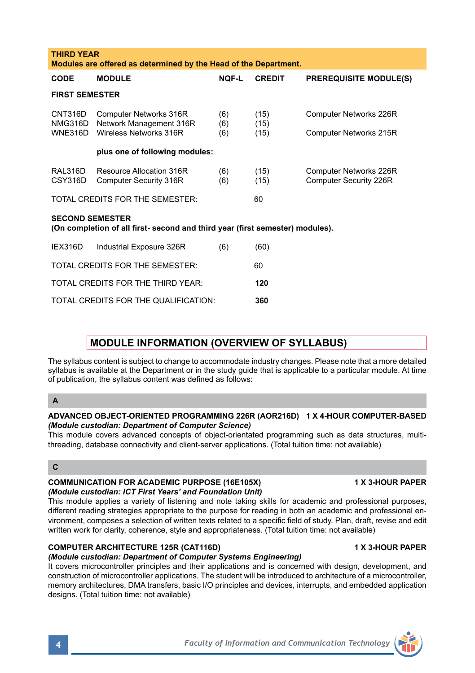| This module covers advanced concepts of object-orientated programming such as data structures, multi-<br>threading, database connectivity and client-server applications. (Total tuition time: not available)                                                                                                                                                                                                                                           |                         |
|---------------------------------------------------------------------------------------------------------------------------------------------------------------------------------------------------------------------------------------------------------------------------------------------------------------------------------------------------------------------------------------------------------------------------------------------------------|-------------------------|
| C                                                                                                                                                                                                                                                                                                                                                                                                                                                       |                         |
| <b>COMMUNICATION FOR ACADEMIC PURPOSE (16E105X)</b><br>(Module custodian: ICT First Years' and Foundation Unit)                                                                                                                                                                                                                                                                                                                                         | <b>1 X 3-HOUR PAPER</b> |
| This module applies a variety of listening and note taking skills for academic and professional purposes,<br>different reading strategies appropriate to the purpose for reading in both an academic and professional en-<br>vironment, composes a selection of written texts related to a specific field of study. Plan, draft, revise and edit<br>written work for clarity, coherence, style and appropriateness. (Total tuition time: not available) |                         |
| <b>COMPUTER ARCHITECTURE 125R (CAT116D)</b>                                                                                                                                                                                                                                                                                                                                                                                                             | <b>1 X 3-HOUR PAPER</b> |
| (Module custodian: Department of Computer Systems Engineering)                                                                                                                                                                                                                                                                                                                                                                                          |                         |
| It covers microcontroller principles and their applications and is concerned with design, development, and<br>construction of microcontroller applications. The student will be introduced to architecture of a microcontroller,<br>memory architectures, DMA transfers, basic I/O principles and devices, interrupts, and embedded application<br>designs. (Total tuition time: not available)                                                         |                         |

# **plus one of following modules:** RAL316D Resource Allocation 316R (6) (15) Computer Networks 226R<br>CSY316D Computer Security 316R (6) (15) Computer Security 226R Computer Security 316R (6) (15) TOTAL CREDITS FOR THE SEMESTER: 60 **SECOND SEMESTER**

NMG316D Network Management 316R (6) (15)<br>WNE316D Wireless Networks 316R (6) (15)

**Modules are offered as determined by the Head of the Department.**

**CODE MODULE NQF-L CREDIT PREREQUISITE MODULE(S)**

CNT316D Computer Networks 316R (6) (15) Computer Networks 226R<br>NMG316D Network Management 316R (6) (15)

WNE316D Wireless Networks 316R (6) (15) Computer Networks 215R

**(On completion of all first- second and third year (first semester) modules).**

| IEX316D | Industrial Exposure 326R             | (6) | (60) |
|---------|--------------------------------------|-----|------|
|         | TOTAL CREDITS FOR THE SEMESTER:      |     | 60   |
|         | TOTAL CREDITS FOR THE THIRD YEAR:    |     | 120  |
|         | TOTAL CREDITS FOR THE QUALIFICATION: |     | 360  |

## **MODULE INFORMATION (OVERVIEW OF SYLLABUS)**

The syllabus content is subject to change to accommodate industry changes. Please note that a more detailed syllabus is available at the Department or in the study guide that is applicable to a particular module. At time of publication, the syllabus content was defined as follows:

### **A**

**THIRD YEAR** 

**FIRST SEMESTER**

# **ADVANCED OBJECT-ORIENTED PROGRAMMING 226R (AOR216D) 1 X 4-HOUR COMPUTER-BASED** *(Module custodian: Department of Computer Science)*

This module covers advanced concepts of object-orientated programming such as data structures, multithreading, dat

### **C**

# *(Module customian: Indeeding Foundation Foundation Foundation Index*

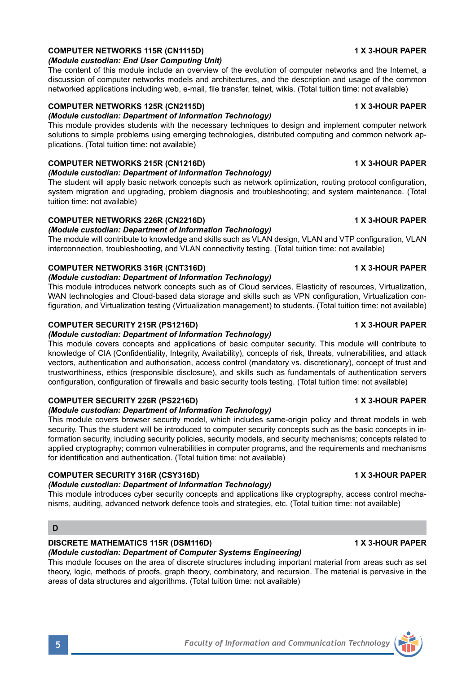# **COMPUTER NETWORKS 115R (CN1115D) 1 X 3-HOUR PAPER**

### *(Module custodian: End User Computing Unit)*

The content of this module include an overview of the evolution of computer networks and the Internet, a discussion of computer networks models and architectures, and the description and usage of the common networked applications including web, e-mail, file transfer, telnet, wikis. (Total tuition time: not available)

### **COMPUTER NETWORKS 125R (CN2115D) 1 X 3-HOUR PAPER**

*(Module custodian: Department of Information Technology)*  This module provides students with the necessary techniques to design and implement computer network solutions to simple problems using emerging technologies, distributed computing and common network applications. (Total tuition time: not available)

### **COMPUTER NETWORKS 215R (CN1216D) 1 X 3-HOUR PAPER**

### *(Module custodian: Department of Information Technology)*

The student will apply basic network concepts such as network optimization, routing protocol configuration, system migration and upgrading, problem diagnosis and troubleshooting; and system maintenance. (Total tuition time: not available)

### **COMPUTER NETWORKS 226R (CN2216D)** 1 X 3-HOUR PAPER

# *(Module custodian: Department of Information Technology)*

The module will contribute to knowledge and skills such as VLAN design, VLAN and VTP configuration, VLAN interconnection, troubleshooting, and VLAN connectivity testing. (Total tuition time: not available)

### **COMPUTER NETWORKS 316R (CNT316D)** 1 X 3-HOUR PAPER

### *(Module custodian: Department of Information Technology)*

This module introduces network concepts such as of Cloud services, Elasticity of resources, Virtualization, WAN technologies and Cloud-based data storage and skills such as VPN configuration, Virtualization configuration, and Virtualization testing (Virtualization management) to students. (Total tuition time: not available)

### **COMPUTER SECURITY 215R (PS1216D) 1 X 3-HOUR PAPER**

### *(Module custodian: Department of Information Technology)*

This module covers concepts and applications of basic computer security. This module will contribute to knowledge of CIA (Confidentiality, Integrity, Availability), concepts of risk, threats, vulnerabilities, and attack vectors, authentication and authorisation, access control (mandatory vs. discretionary), concept of trust and trustworthiness, ethics (responsible disclosure), and skills such as fundamentals of authentication servers configuration, configuration of firewalls and basic security tools testing. (Total tuition time: not available)

### **COMPUTER SECURITY 226R (PS2216D)** 1 X 3-HOUR PAPER

### *(Module custodian: Department of Information Technology)*

This module covers browser security model, which includes same-origin policy and threat models in web security. Thus the student will be introduced to computer security concepts such as the basic concepts in information security, including security policies, security models, and security mechanisms; concepts related to applied cryptography; common vulnerabilities in computer programs, and the requirements and mechanisms for identification and authentication. (Total tuition time: not available)

### **COMPUTER SECURITY 316R (CSY316D) 1 X 3-HOUR PAPER**

### *(Module custodian: Department of Information Technology)*

This module introduces cyber security concepts and applications like cryptography, access control mechanisms, auditing, advanced network defence tools and strategies, etc. (Total tuition time: not available)

### **D**

### **DISCRETE MATHEMATICS 115R (DSM116D)** 1 X 3-HOUR PAPER

### *(Module custodian: Department of Computer Systems Engineering)*

This module focuses on the area of discrete structures including important material from areas such as set theory, logic, methods of proofs, graph theory, combinatory, and recursion. The material is pervasive in the areas of data structures and algorithms. (Total tuition time: not available)



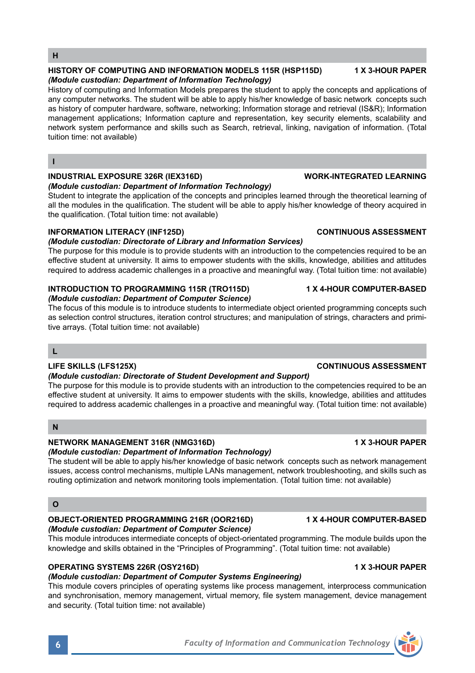### **OPERATING SYSTEMS 226R (OSY216D) 1 X 3-HOUR PAPER**

### *(Module custodian: Department of Computer Systems Engineering)*

This module covers principles of operating systems like process management, interprocess communication and synchronisation, memory management, virtual memory, file system management, device management and security. (Total tuition time: not available)

This module introduces intermediate concepts of object-orientated programming. The module builds upon the knowledge and skills obtained in the "Principles of Programming". (Total tuition time: not available)

## **H**

### **HISTORY OF COMPUTING AND INFORMATION MODELS 115R (HSP115D) 1 X 3-HOUR PAPER** *(Module custodian: Department of Information Technology)*

History of computing and Information Models prepares the student to apply the concepts and applications of any computer networks. The student will be able to apply his/her knowledge of basic network concepts such as history of computer hardware, software, networking; Information storage and retrieval (IS&R); Information management applications; Information capture and representation, key security elements, scalability and network system performance and skills such as Search, retrieval, linking, navigation of information. (Total tuition time: not available)

### **I**

### **INDUSTRIAL EXPOSURE 326R (IEX316D) WORK-INTEGRATED LEARNING**

### *(Module custodian: Department of Information Technology)*

Student to integrate the application of the concepts and principles learned through the theoretical learning of all the modules in the qualification. The student will be able to apply his/her knowledge of theory acquired in the qualification. (Total tuition time: not available)

### **INFORMATION LITERACY (INF125D) CONTINUOUS ASSESSMENT**

### *(Module custodian: Directorate of Library and Information Services)*

The purpose for this module is to provide students with an introduction to the competencies required to be an effective student at university. It aims to empower students with the skills, knowledge, abilities and attitudes required to address academic challenges in a proactive and meaningful way. (Total tuition time: not available)

### **INTRODUCTION TO PROGRAMMING 115R (TRO115D) 1 X 4-HOUR COMPUTER-BASED** *(Module custodian: Department of Computer Science)*

The focus of this module is to introduce students to intermediate object oriented programming concepts such as selection control structures, iteration control structures; and manipulation of strings, characters and primitive arrays. (Total tuition time: not available)

### **L**

### **LIFE SKILLS (LFS125X) CONTINUOUS ASSESSMENT**

### *(Module custodian: Directorate of Student Development and Support)*

The purpose for this module is to provide students with an introduction to the competencies required to be an effective student at university. It aims to empower students with the skills, knowledge, abilities and attitudes required to address academic challenges in a proactive and meaningful way. (Total tuition time: not available)

### **N**

### **NETWORK MANAGEMENT 316R (NMG316D) 1 X 3-HOUR PAPER**

### *(Module custodian: Department of Information Technology)*

The student will be able to apply his/her knowledge of basic network concepts such as network management issues, access control mechanisms, multiple LANs management, network troubleshooting, and skills such as routing optimization and network monitoring tools implementation. (Total tuition time: not available)

### **O**

### **OBJECT-ORIENTED PROGRAMMING 216R (OOR216D) 1 X 4-HOUR COMPUTER-BASED** *(Module custodian: Department of Computer Science)*